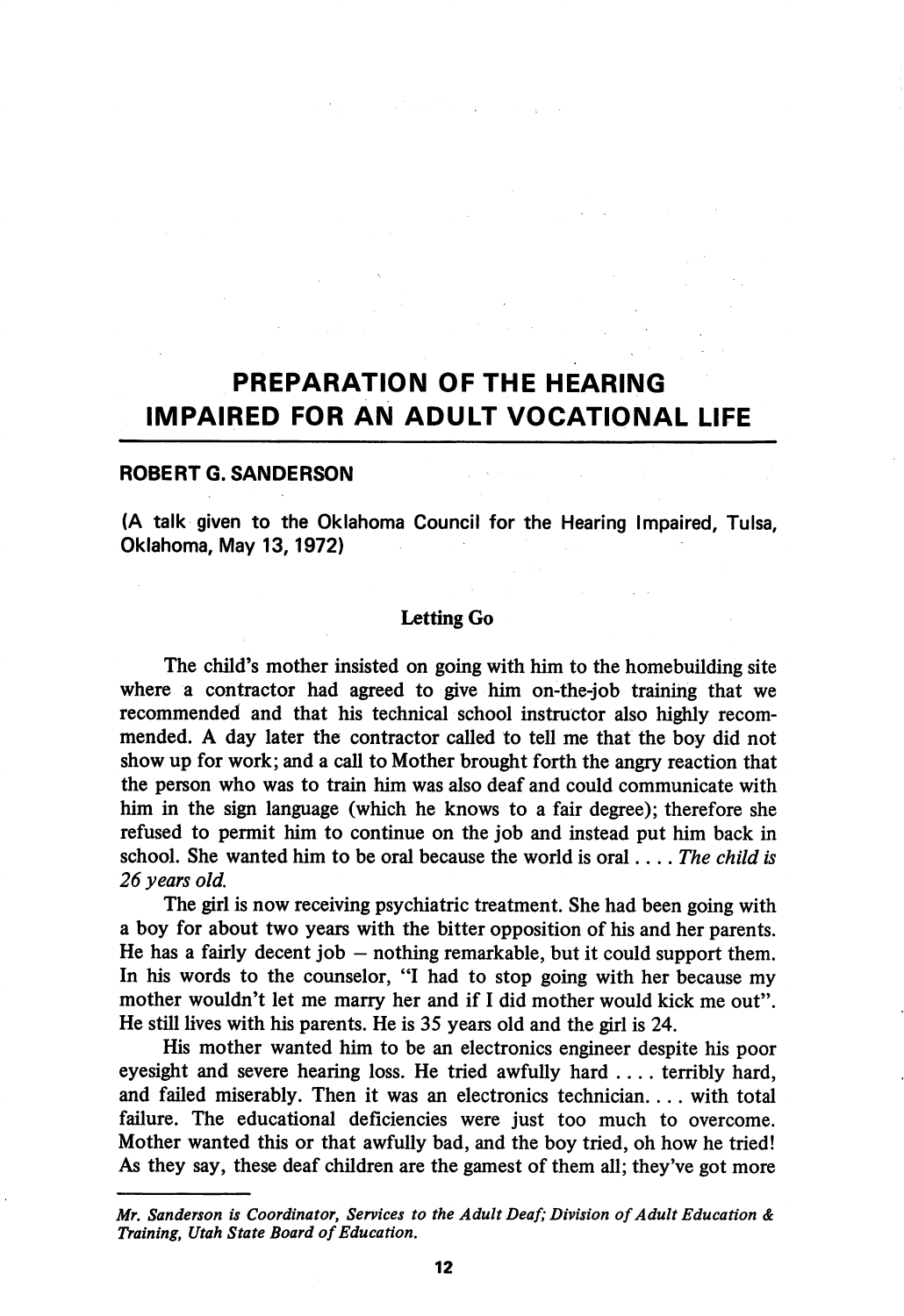# PREPARATION OF THE HEARING IMPAIRED FOR AN ADULT VOCATIONAL LIFE

## ROBERT G.SANDERSON

(A talk given to the Oklahoma Council for the Hearing Impaired, Tulsa, Oklahoma, May 13,1972)

## Letting Go

The child's mother insisted on going with him to the homebuilding site where a contractor had agreed to give him on-the-job training that we recommended and that his technical school instructor also highly recom mended. A day later the contractor called to tell me that the boy did not show up for work; and a call to Mother brought forth the angry reaction that the person who was to train him was also deaf and could communicate with him in the sign language (which he knows to a fair degree); therefore she refused to permit him to continue on the job and instead put him back in school. She wanted him to be oral because the world is oral... The child is 26 years old.

The girl is now receiving psychiatric treatment. She had been going with a boy for about two years with the bitter opposition of his and her parents. He has a fairly decent job  $-$  nothing remarkable, but it could support them. In his words to the counselor, "I had to stop going with her because my mother wouldn't let me marry her and if I did mother would kick me out". He still lives with his parents. He is 35 years old and the girl is 24.

His mother wanted him to be an electronics engineer despite his poor eyesight and severe hearing loss. He tried awfully hard .... terribly hard, and failed miserably. Then it was an electronics technician.... with total failure. The educational deficiencies were just too much to overcome. Mother wanted this or that awfully bad, and the boy tried, oh how he tried! As they say, these deaf children are the gamest of them all; they've got more

Mr. Sanderson is Coordinator, Services to the Adult Deaf; Division of Adult Education & Training, Utah State Board of Education.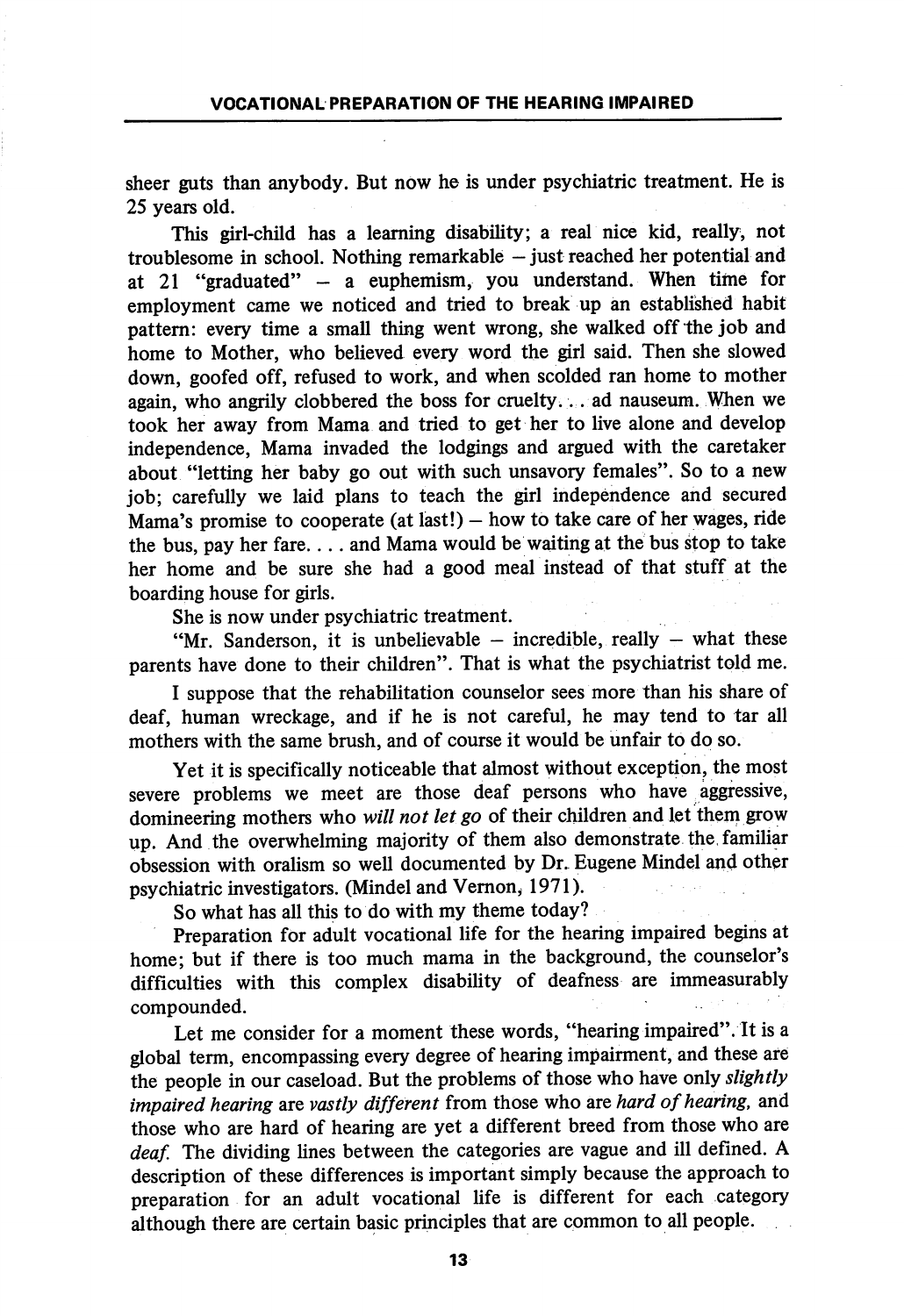sheer guts than anybody. But now he is under psychiatric treatment. He is 25 years old.

This girl-child has a learning disability; a real nice kid, really, not troublesome in school. Nothing remarkable  $-$  just reached her potential and at 21 "graduated" — a euphemism, you understand. When time for employment came we noticed and tried to break up an established habit pattern: every time a small thing went wrong, she walked off the job and home to Mother, who believed every word the girl said. Then she slowed down, goofed off, refused to work, and when scolded ran home to mother again, who angrily clobbered the boss for cruelty.. . ad nauseura. When we took her away from Mama and tried to get her to live alone and develop independence. Mama invaded the lodgings and argued with the caretaker about "letting her baby go out with such unsavory females". So to a new job; carefully we laid plans to teach the girl independence and secured Mama's promise to cooperate (at last!) — how to take care of her wages, ride the bus, pay her fare.... and Mama would be waiting at the bus stop to take her home and be sure she had a good meal instead of that stuff at the boarding house for girls.

She is now under psychiatric treatment.

"Mr. Sanderson, it is unbelievable  $-$  incredible, really  $-$  what these parents have done to their children". That is what the psychiatrist told me.

I suppose that the rehabilitation counselor sees more than his share of deaf, human wreckage, and if he is not careful, he may tend to tar all mothers with the same brush, and of course it would be unfair to do so.

Yet it is specifically noticeable that almost without exception, the most severe problems we meet are those deaf persons who have aggressive, domineering mothers who will not let go of their children and let them grow up. And the overwhelming majority of them also demonstrate the. familiar obsession with oralism so well documented by Dr. Eugene Mindel and other psychiatric investigators. (Mindel and Vemon, 1971).

So what has all this to do with my theme today?

Preparation for adult vocational life for the hearing impaired begins at home; but if there is too much mama in the background, the counselor's difficulties with this complex disabihty of deafness are immeasurably compounded.

Let me consider for a moment these words, "hearing impaired". It is a global term, encompassing every degree of hearing impairment, and these are the people in our caseload. But the problems of those who have only slightly impaired hearing are vastly different from those who are hard of hearing, and those who are hard of hearing are yet a different breed from those who are deaf. The dividing lines between the categories are vague and ill defined. A description of these differences is important simply because the approach to preparation for an adult vocational life is different for each category although there are certain basic principles that are common to all people.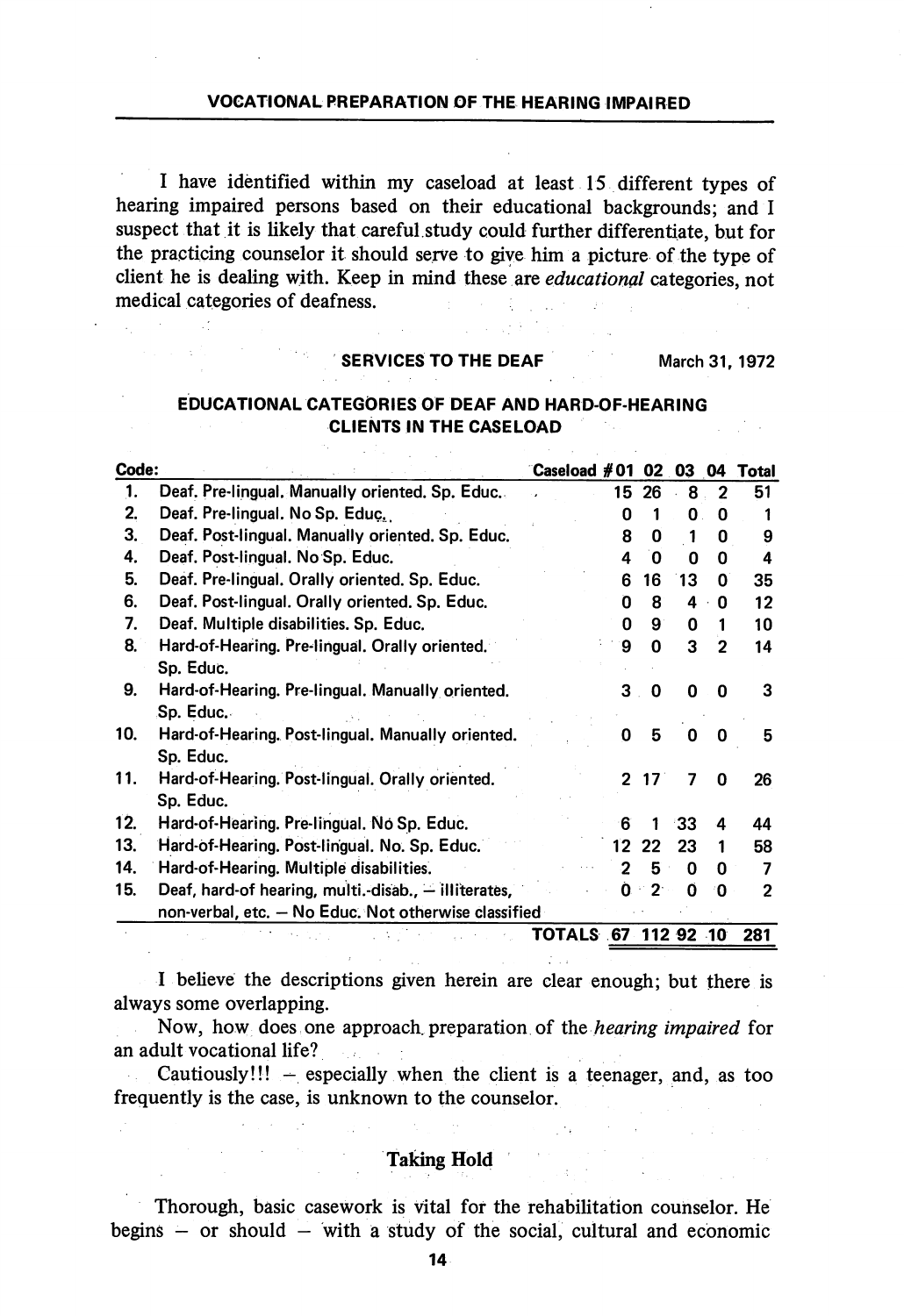## VOCATIONAL PREPARATION OF THE HEARING IMPAIRED

I have identified within my caseload at least 15 different types of hearing impaired persons based on their educational backgrounds; and I suspect that it is likely that careful, study could further differentiate, but for the practicing counselor it should serve to give him a picture of the type of client he is dealing with. Keep in mind these are educational categories, not medical categories of deafness.

## SERVICES TO THE DEAF March 31, 1972

## EDUCATIONAL CATEGORIES OF DEAF AND HARD-OF-HEARING CLIENTS IN THE CASELOAD

| Code: |                                                      | ිCaseload # 01      |         | 02.             | 03           | 04           | Total |
|-------|------------------------------------------------------|---------------------|---------|-----------------|--------------|--------------|-------|
| 1.    | Deaf. Pre-lingual. Manually oriented. Sp. Educ.      |                     | 15.     | 26              | 8            | 2            | 51    |
| 2.    | Deaf. Pre-lingual. No Sp. Educ.                      |                     | ŋ       |                 | 0            | 0            |       |
| 3.    | Deaf. Post-lingual. Manually oriented. Sp. Educ.     |                     | 8       | 0               | 1            | 0            | 9     |
| 4.    | Deaf. Post-lingual. No Sp. Educ.                     |                     | 4       | 0               | 0            | 0            | 4     |
| 5.    | Deaf. Pre-lingual. Orally oriented. Sp. Educ.        |                     | 6       | 16              | 13           | 0            | 35    |
| 6.    | Deaf. Post-lingual. Orally oriented. Sp. Educ.       |                     | 0       | 8               | 4            | 0            | 12    |
| 7.    | Deaf. Multiple disabilities. Sp. Educ.               |                     | O       | 9               | 0            | 1            | 10    |
| 8.    | Hard-of-Hearing. Pre-lingual. Orally oriented.       |                     | 9       | $\mathbf 0$     | 3            | $\mathbf{2}$ | 14    |
|       | Sp. Educ.                                            |                     |         |                 |              |              |       |
| 9.    | Hard-of-Hearing. Pre-lingual. Manually oriented.     |                     | 3       | 0               | 0            | 0            | 3     |
|       | Sp. Educ.                                            |                     |         |                 |              |              |       |
| 10.   | Hard-of-Hearing. Post-lingual. Manually oriented.    |                     | O       | 5               | <sup>0</sup> | 0            | 5     |
|       | Sp. Educ.                                            |                     |         |                 |              |              |       |
| 11.   | Hard-of-Hearing. Post-lingual. Orally oriented.      |                     | 2       | 17 <sup>1</sup> | 7            | 0            | 26    |
|       | Sp. Educ.                                            |                     |         |                 |              |              |       |
| 12.   | Hard-of-Hearing. Pre-lingual. No Sp. Educ.           |                     | 6       | 1               | -33          | 4            | 44    |
| 13.   | Hard-of-Hearing. Post-lingual. No. Sp. Educ.         |                     | $12 \,$ | 22              | 23           | 1            | 58    |
| 14.   | Hard-of-Hearing. Multiple disabilities.              |                     | 2       | 5               | O            | 0            | 7     |
| 15.   | Deaf, hard-of hearing, multi.-disab., - illiterates, |                     | O.      | $\leq 2$        | O            | 0            | 2     |
|       | non-verbal, etc. - No Educ. Not otherwise classified |                     |         |                 |              |              |       |
|       |                                                      | TOTALS 67 112 92 10 |         |                 |              |              | 281   |

I believe the descriptions given herein are clear enough; but there is always some overlapping.

Now, how does one approach preparation of the hearing impaired for an adult vocational life?

lult vocational life?<br>Cautiously!!!  $-$  especially when the client is a teenager, and, as too frequently is the case, is unknown to the counselor.

## Taking Hold

Thorough, basic casework is vital for the rehabilitation counselor. He begins  $-$  or should  $-$  with a study of the social, cultural and economic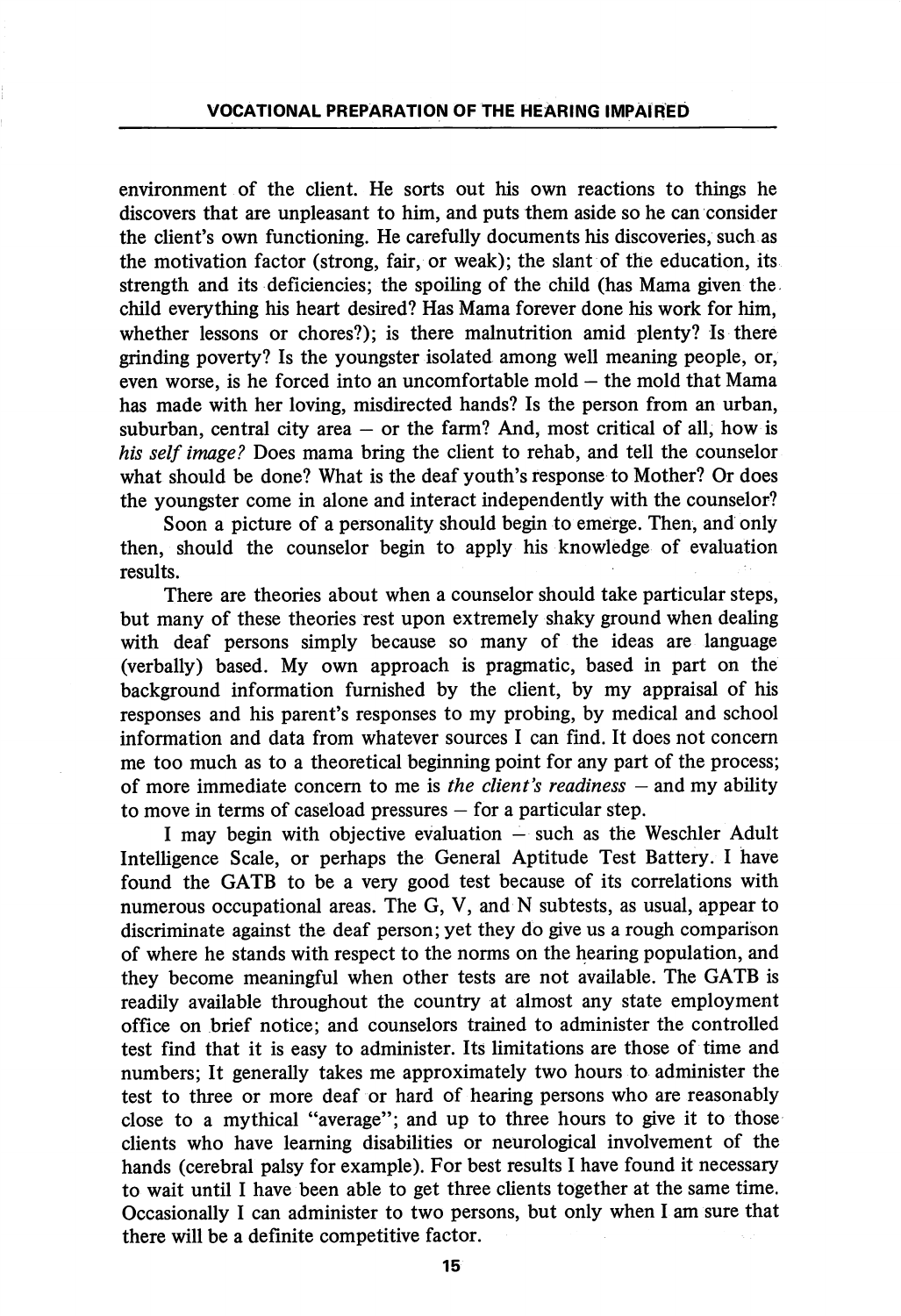environment of the client. He sorts out his own reactions to things he discovers that are unpleasant to him, and puts them aside so he can consider the client's own functioning. He carefully documents his discoveries, such as the motivation factor (strong, fair, or weak); the slant of the education, its strength and its deficiencies; the spoiling of the child (has Mama given the child everything his heart desired? Has Mama forever done his work for him, whether lessons or chores?); is there malnutrition amid plenty? Is there grinding poverty? Is the youngster isolated among well meaning people, or, even worse, is he forced into an uncomfortable mold — the mold that Mama has made with her loving, misdirected hands? Is the person from an urban, suburban, central city area  $-$  or the farm? And, most critical of all, how is his self image? Does mama bring the client to rehab, and tell the counselor what should be done? What is the deaf youth's response to Mother? Or does the youngster come in alone and interact independently with the counselor?

Soon a picture of a personality should begin to emerge. Then, and only then, should the counselor begin to apply his knowledge of evaluation results.

There are theories about when a counselor should take particular steps, but many of these theories rest upon extremely shaky ground when dealing with deaf persons simply because so many of the ideas are language (verbally) based. My own approach is pragmatic, based in part on the background information furnished by the client, by my appraisal of his responses and his parent's responses to my probing, by medical and school information and data from whatever sources I can find. It does not concern me too much as to a theoretical beginning point for any part of the process; of more immediate concern to me is the client's readiness  $-$  and my ability to move in terms of caseload pressures — for a particular step.

I may begin with objective evaluation — such as the Weschler Adult Intelhgence Scale, or perhaps the General Aptitude Test Battery. I have found the GATE to be a very good test because of its correlations with numerous occupational areas. The G, V, and N subtests, as usual, appear to discriminate against the deaf person; yet they do give us a rough comparison of where he stands with respect to the norms on the hearing population, and they become meaningful when other tests are not available. The GATE is readily available throughout the country at almost any state employment office on brief notice; and counselors trained to administer the controlled test find that it is easy to administer. Its limitations are those of time and numbers; It generally takes me approximately two hours to administer the test to three or more deaf or hard of hearing persons who are reasonably close to a mythical "average"; and up to three hours to give it to those clients who have learning disabilities or neurological involvement of the hands (cerebral palsy for example). For best results I have found it necessary to wait until I have been able to get three clients together at the same time. Occasionally I can administer to two persons, but only when I am sure that there will be a definite competitive factor.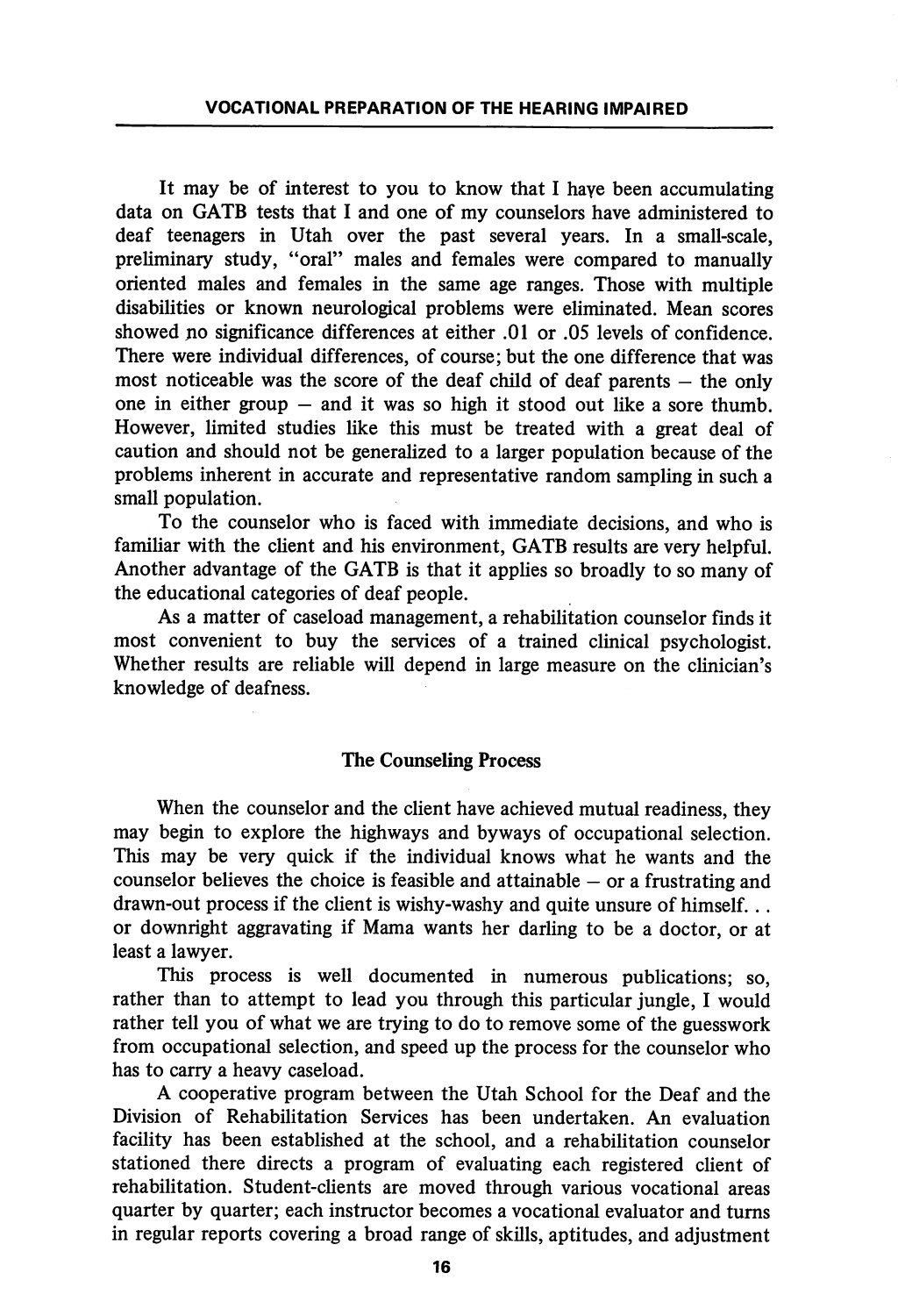It may be of interest to you to know that I haye been accumulating data on GATB tests that I and one of my counselors have administered to deaf teenagers in Utah over the past several years. In a small-scale, preliminary study, "oral" males and females were compared to manually oriented males and females in the same age ranges. Those with multiple disabilities or known neurological problems were eliminated. Mean scores showed no significance differences at either .01 or .05 levels of confidence. There were individual differences, of course; but the one difference that was most noticeable was the score of the deaf child of deaf parents — the only one in either group — and it was so high it stood out like a sore thumb. However, limited studies like this must be treated with a great deal of caution and should not be generalized to a larger population because of the problems inherent in accurate and representative random sampling in such a small population.

To the counselor who is faced with immediate decisions, and who is famihar with the client and his environment, GATB results are very helpful. Another advantage of the GATB is that it applies so broadly to so many of the educational categories of deaf people.

As a matter of caseload management, a rehabilitation counselor finds it most convenient to buy the services of a trained clinical psychologist. Whether results are reliable will depend in large measure on the clinician's knowledge of deafness.

#### The Counseling Process

When the counselor and the client have achieved mutual readiness, they may begin to explore the highways and byways of occupational selection. This may be very quick if the individual knows what he wants and the counselor believes the choice is feasible and attainable — or a frustrating and drawn-out process if the client is wishy-washy and quite unsure of himself... or downright aggravating if Mama wants her darling to be a doctor, or at least a lawyer.

This process is well documented in numerous publications; so, rather than to attempt to lead you through this particular jungle, I would rather tell you of what we are trying to do to remove some of the guesswork from occupational selection, and speed up the process for the counselor who has to carry a heavy caseload.

A cooperative program between the Utah School for the Deaf and the Division of Rehabilitation Services has been undertaken. An evaluation facility has been established at the school, and a rehabilitation counselor stationed there directs a program of evaluating each registered client of rehabilitation. Student-chents are moved through various vocational areas quarter by quarter; each instructor becomes a vocational evaluator and turns in regular reports covering a broad range of skills, aptitudes, and adjustment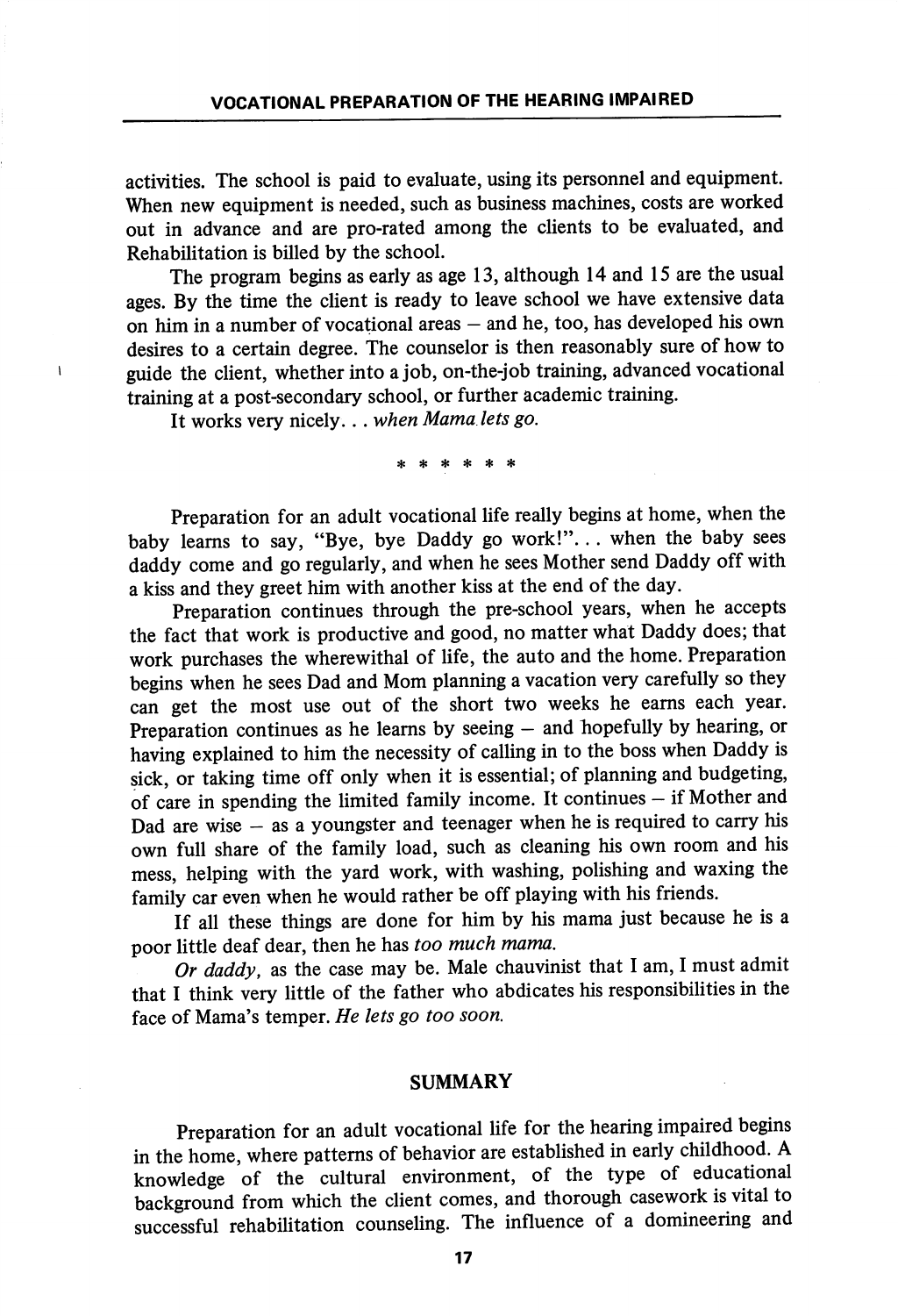activities. The school is paid to evaluate, using its personnel and equipment. When new equipment is needed, such as business machines, costs are worked out in advance and are pro-rated among the clients to be evaluated, and Rehabilitation is billed by the school.

The program begins as early as age 13, although 14 and 15 are the usual ages. By the time the client is ready to leave school we have extensive data on him in a number of vocational areas — and he, too, has developed his own desires to a certain degree. The counselor is then reasonably sure of how to guide the client, whether into a job, on-the-job training, advanced vocational training at a post-secondary school, or further academic training.

It works very nicely. . . when Mama lets go.

 $\mathbf{I}$ 

\* \* \* \*

Preparation for an adult vocational life really begins at home, when the baby learns to say, "Bye, bye Daddy go work!"... when the baby sees daddy come and go regularly, and when he sees Mother send Daddy off with a kiss and they greet him with another kiss at the end of the day.

Preparation continues through the pre-school years, when he accepts the fact that work is productive and good, no matter what Daddy does; that work purchases the wherewithal of life, the auto and the home. Preparation begins when he sees Dad and Mom planning a vacation very carefully so they can get the most use out of the short two weeks he earns each year. Preparation continues as he learns by seeing – and hopefully by hearing, or having explained to him the necessity of calling in to the boss when Daddy is sick, or taking time off only when it is essential; of planning and budgeting, of care in spending the limited family income. It continues - if Mother and Dad are wise  $-$  as a youngster and teenager when he is required to carry his own full share of the family load, such as cleaning his own room and his mess, helping with the yard work, with washing, polishing and waxing the family car even when he would rather be off playing with his friends.

If all these things are done for him by his mama just because he is a poor little deaf dear, then he has too much mama.

Or daddy, as the case may be. Male chauvinist that I am, I must admit that I think very little of the father who abdicates his responsibilities in the face of Mama's temper. He lets go too soon.

#### SUMMARY

Preparation for an adult vocational life for the hearing impaired begins in the home, where patterns of behavior are established in early childhood. A knowledge of the cultural environment, of the type of educational background from which the client comes, and thorough casework is vital to successful rehabilitation counseling. The influence of a domineering and